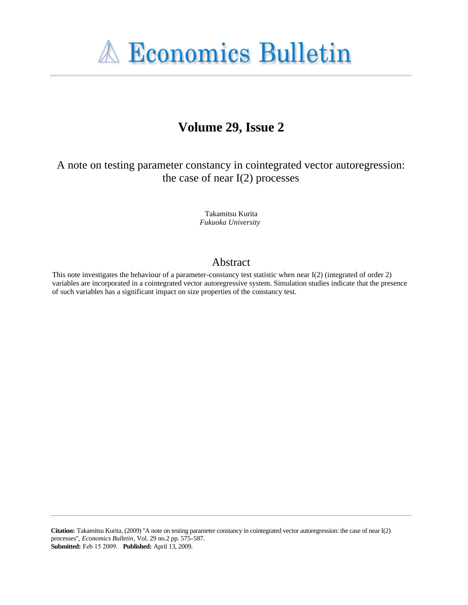

# **Volume 29, Issue 2**

A note on testing parameter constancy in cointegrated vector autoregression: the case of near  $I(2)$  processes

> Takamitsu Kurita *Fukuoka University*

#### Abstract

This note investigates the behaviour of a parameter-constancy test statistic when near I(2) (integrated of order 2) variables are incorporated in a cointegrated vector autoregressive system. Simulation studies indicate that the presence of such variables has a significant impact on size properties of the constancy test.

**Citation:** Takamitsu Kurita, (2009) ''A note on testing parameter constancy in cointegrated vector autoregression: the case of near I(2) processes'', *Economics Bulletin*, Vol. 29 no.2 pp. 575-587. **Submitted:** Feb 15 2009. **Published:** April 13, 2009.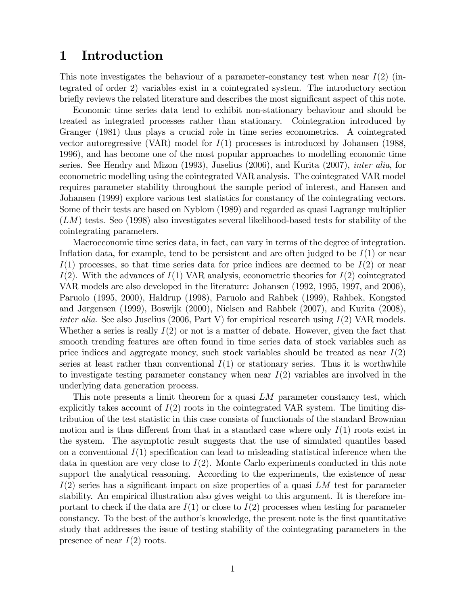#### 1 Introduction

This note investigates the behaviour of a parameter-constancy test when near  $I(2)$  (integrated of order 2) variables exist in a cointegrated system. The introductory section briefly reviews the related literature and describes the most significant aspect of this note.

Economic time series data tend to exhibit non-stationary behaviour and should be treated as integrated processes rather than stationary. Cointegration introduced by Granger (1981) thus plays a crucial role in time series econometrics. A cointegrated vector autoregressive (VAR) model for  $I(1)$  processes is introduced by Johansen (1988, 1996), and has become one of the most popular approaches to modelling economic time series. See Hendry and Mizon (1993), Juselius (2006), and Kurita (2007), inter alia, for econometric modelling using the cointegrated VAR analysis. The cointegrated VAR model requires parameter stability throughout the sample period of interest, and Hansen and Johansen (1999) explore various test statistics for constancy of the cointegrating vectors. Some of their tests are based on Nyblom (1989) and regarded as quasi Lagrange multiplier  $(LM)$  tests. Seo (1998) also investigates several likelihood-based tests for stability of the cointegrating parameters.

Macroeconomic time series data, in fact, can vary in terms of the degree of integration. Inflation data, for example, tend to be persistent and are often judged to be  $I(1)$  or near  $I(1)$  processes, so that time series data for price indices are deemed to be  $I(2)$  or near  $I(2)$ . With the advances of  $I(1)$  VAR analysis, econometric theories for  $I(2)$  cointegrated VAR models are also developed in the literature: Johansen (1992, 1995, 1997, and 2006), Paruolo (1995, 2000), Haldrup (1998), Paruolo and Rahbek (1999), Rahbek, Kongsted and Jørgensen (1999), Boswijk (2000), Nielsen and Rahbek (2007), and Kurita (2008), *inter alia.* See also Juselius (2006, Part V) for empirical research using  $I(2)$  VAR models. Whether a series is really  $I(2)$  or not is a matter of debate. However, given the fact that smooth trending features are often found in time series data of stock variables such as price indices and aggregate money, such stock variables should be treated as near  $I(2)$ series at least rather than conventional  $I(1)$  or stationary series. Thus it is worthwhile to investigate testing parameter constancy when near  $I(2)$  variables are involved in the underlying data generation process.

This note presents a limit theorem for a quasi LM parameter constancy test, which explicitly takes account of  $I(2)$  roots in the cointegrated VAR system. The limiting distribution of the test statistic in this case consists of functionals of the standard Brownian motion and is thus different from that in a standard case where only  $I(1)$  roots exist in the system. The asymptotic result suggests that the use of simulated quantiles based on a conventional  $I(1)$  specification can lead to misleading statistical inference when the data in question are very close to  $I(2)$ . Monte Carlo experiments conducted in this note support the analytical reasoning. According to the experiments, the existence of near  $I(2)$  series has a significant impact on size properties of a quasi LM test for parameter stability. An empirical illustration also gives weight to this argument. It is therefore important to check if the data are  $I(1)$  or close to  $I(2)$  processes when testing for parameter constancy. To the best of the author's knowledge, the present note is the first quantitative study that addresses the issue of testing stability of the cointegrating parameters in the presence of near  $I(2)$  roots.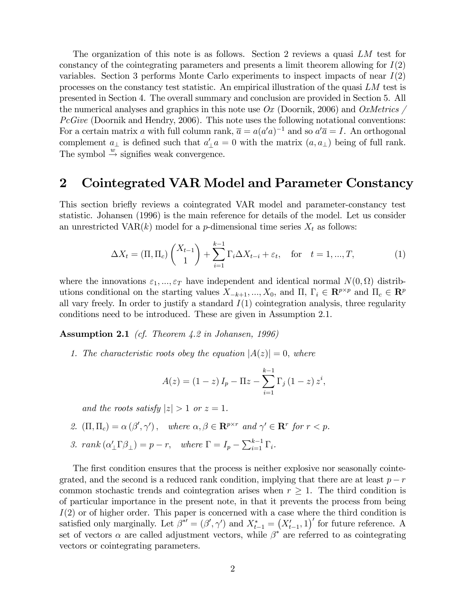The organization of this note is as follows. Section 2 reviews a quasi LM test for constancy of the cointegrating parameters and presents a limit theorem allowing for  $I(2)$ variables. Section 3 performs Monte Carlo experiments to inspect impacts of near  $I(2)$ processes on the constancy test statistic. An empirical illustration of the quasi LM test is presented in Section 4. The overall summary and conclusion are provided in Section 5. All the numerical analyses and graphics in this note use  $Ox$  (Doornik, 2006) and  $OxMetrics$  $PcGive$  (Doornik and Hendry, 2006). This note uses the following notational conventions: For a certain matrix a with full column rank,  $\bar{a} = a(a'a)^{-1}$  and so  $a'\bar{a} = I$ . An orthogonal complement  $a_{\perp}$  is defined such that  $a'_{\perp}a = 0$  with the matrix  $(a, a_{\perp})$  being of full rank. The symbol  $\stackrel{w}{\rightarrow}$  signifies weak convergence.

#### 2 Cointegrated VAR Model and Parameter Constancy

This section brieáy reviews a cointegrated VAR model and parameter-constancy test statistic. Johansen (1996) is the main reference for details of the model. Let us consider an unrestricted VAR $(k)$  model for a *p*-dimensional time series  $X_t$  as follows:

$$
\Delta X_t = (\Pi, \Pi_c) \begin{pmatrix} X_{t-1} \\ 1 \end{pmatrix} + \sum_{i=1}^{k-1} \Gamma_i \Delta X_{t-i} + \varepsilon_t, \text{ for } t = 1, ..., T,
$$
 (1)

where the innovations  $\varepsilon_1, ..., \varepsilon_T$  have independent and identical normal  $N(0, \Omega)$  distributions conditional on the starting values  $X_{-k+1}, ..., X_0$ , and  $\Pi, \Gamma_i \in \mathbb{R}^{p \times p}$  and  $\Pi_c \in \mathbb{R}^p$ all vary freely. In order to justify a standard  $I(1)$  cointegration analysis, three regularity conditions need to be introduced. These are given in Assumption 2.1.

Assumption 2.1 (cf. Theorem 4.2 in Johansen, 1996)

1. The characteristic roots obey the equation  $|A(z)| = 0$ , where

$$
A(z) = (1 - z) I_p - \Pi z - \sum_{i=1}^{k-1} \Gamma_i (1 - z) z^i,
$$

and the roots satisfy  $|z| > 1$  or  $z = 1$ .

- 2.  $(\Pi, \Pi_c) = \alpha (\beta', \gamma')$ , where  $\alpha, \beta \in \mathbb{R}^{p \times r}$  and  $\gamma' \in \mathbb{R}^r$  for  $r < p$ .
- 3. rank  $(\alpha'_{\perp} \Gamma \beta_{\perp}) = p r$ , where  $\Gamma = I_p \sum_{i=1}^{k-1} \Gamma_i$ .

The first condition ensures that the process is neither explosive nor seasonally cointegrated, and the second is a reduced rank condition, implying that there are at least  $p - r$ common stochastic trends and cointegration arises when  $r \geq 1$ . The third condition is of particular importance in the present note, in that it prevents the process from being  $I(2)$  or of higher order. This paper is concerned with a case where the third condition is satisfied only marginally. Let  $\beta^{*'} = (\beta', \gamma')$  and  $X_{t-1}^* = (X_{t-1}', 1)'$  for future reference. A set of vectors  $\alpha$  are called adjustment vectors, while  $\beta^*$  are referred to as cointegrating vectors or cointegrating parameters.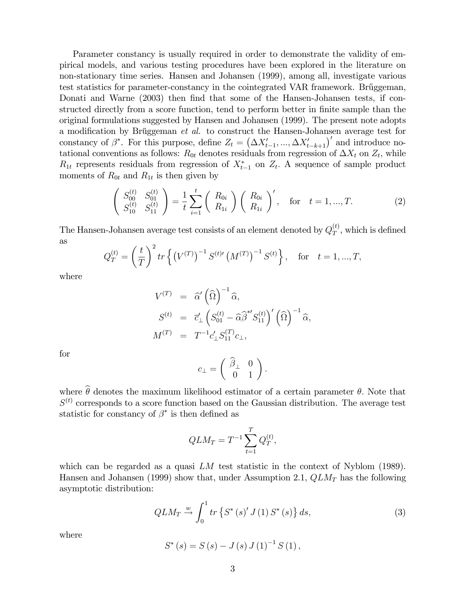Parameter constancy is usually required in order to demonstrate the validity of empirical models, and various testing procedures have been explored in the literature on non-stationary time series. Hansen and Johansen (1999), among all, investigate various test statistics for parameter-constancy in the cointegrated VAR framework. Brüggeman, Donati and Warne (2003) then find that some of the Hansen-Johansen tests, if constructed directly from a score function, tend to perform better in finite sample than the original formulations suggested by Hansen and Johansen (1999). The present note adopts a modification by Br $\mathcal{U}$ ggeman et al. to construct the Hansen-Johansen average test for constancy of  $\beta^*$ . For this purpose, define  $Z_t = (\Delta X'_{t-1}, ..., \Delta X'_{t-k+1})'$  and introduce notational conventions as follows:  $R_{0t}$  denotes residuals from regression of  $\Delta X_t$  on  $Z_t$ , while  $R_{1t}$  represents residuals from regression of  $X_{t-1}^*$  on  $Z_t$ . A sequence of sample product moments of  $R_{0t}$  and  $R_{1t}$  is then given by

$$
\begin{pmatrix} S_{00}^{(t)} & S_{01}^{(t)} \\ S_{10}^{(t)} & S_{11}^{(t)} \end{pmatrix} = \frac{1}{t} \sum_{i=1}^{t} \begin{pmatrix} R_{0i} \\ R_{1i} \end{pmatrix} \begin{pmatrix} R_{0i} \\ R_{1i} \end{pmatrix}', \text{ for } t = 1, ..., T. \tag{2}
$$

The Hansen-Johansen average test consists of an element denoted by  $Q_T^{(t)}$  $T$ , which is defined as  $\ddot{\phantom{2}}$ 

$$
Q_T^{(t)} = \left(\frac{t}{T}\right)^2 tr \left\{ \left(V^{(T)}\right)^{-1} S^{(t)} \left(M^{(T)}\right)^{-1} S^{(t)} \right\}, \text{ for } t = 1, ..., T,
$$

where

$$
V^{(T)} = \widehat{\alpha}' (\widehat{\Omega})^{-1} \widehat{\alpha},
$$
  
\n
$$
S^{(t)} = \overline{c}'_{\perp} \left( S_{01}^{(t)} - \widehat{\alpha} \widehat{\beta}^{*'} S_{11}^{(t)} \right)' (\widehat{\Omega})^{-1} \widehat{\alpha},
$$
  
\n
$$
M^{(T)} = T^{-1} c'_{\perp} S_{11}^{(T)} c_{\perp},
$$

for

$$
c_{\perp} = \left( \begin{array}{cc} \widehat{\beta}_{\perp} & 0 \\ 0 & 1 \end{array} \right).
$$

where  $\widehat{\theta}$  denotes the maximum likelihood estimator of a certain parameter  $\theta$ . Note that  $S<sup>(t)</sup>$  corresponds to a score function based on the Gaussian distribution. The average test statistic for constancy of  $\beta^*$  is then defined as

$$
QLM_T = T^{-1} \sum_{t=1}^{T} Q_T^{(t)},
$$

which can be regarded as a quasi  $LM$  test statistic in the context of Nyblom (1989). Hansen and Johansen (1999) show that, under Assumption 2.1,  $QLM_T$  has the following asymptotic distribution:

$$
QLM_T \xrightarrow{w} \int_0^1 tr \{ S^* (s)' J(1) S^* (s) \} ds,
$$
 (3)

where

$$
S^*(s) = S(s) - J(s) J(1)^{-1} S(1),
$$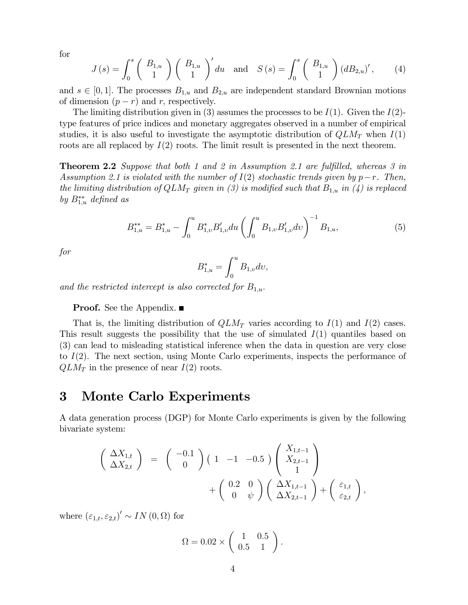for

$$
J(s) = \int_0^s \begin{pmatrix} B_{1,u} \\ 1 \end{pmatrix} \begin{pmatrix} B_{1,u} \\ 1 \end{pmatrix}^{\prime} du \text{ and } S(s) = \int_0^s \begin{pmatrix} B_{1,u} \\ 1 \end{pmatrix} (dB_{2,u})^{\prime}, \quad (4)
$$

and  $s \in [0, 1]$ . The processes  $B_{1,u}$  and  $B_{2,u}$  are independent standard Brownian motions of dimension  $(p - r)$  and r, respectively.

The limiting distribution given in (3) assumes the processes to be  $I(1)$ . Given the  $I(2)$ type features of price indices and monetary aggregates observed in a number of empirical studies, it is also useful to investigate the asymptotic distribution of  $QLM_T$  when  $I(1)$ roots are all replaced by  $I(2)$  roots. The limit result is presented in the next theorem.

**Theorem 2.2** Suppose that both 1 and 2 in Assumption 2.1 are fulfilled, whereas 3 in Assumption 2.1 is violated with the number of  $I(2)$  stochastic trends given by  $p-r$ . Then, the limiting distribution of  $QLM_T$  given in (3) is modified such that  $B_{1,u}$  in (4) is replaced by  $B_{1,u}^{**}$  defined as

$$
B_{1,u}^{**} = B_{1,u}^* - \int_0^u B_{1,v}^* B_{1,v}' du \left( \int_0^u B_{1,v} B_{1,v}' dv \right)^{-1} B_{1,u}, \tag{5}
$$

for

$$
B_{1,u}^*=\int_0^u B_{1,v}dv,
$$

and the restricted intercept is also corrected for  $B_{1,u}$ .

**Proof.** See the Appendix. ■

That is, the limiting distribution of  $QLM_T$  varies according to  $I(1)$  and  $I(2)$  cases. This result suggests the possibility that the use of simulated  $I(1)$  quantiles based on (3) can lead to misleading statistical inference when the data in question are very close to I(2). The next section, using Monte Carlo experiments, inspects the performance of  $QLM_T$  in the presence of near  $I(2)$  roots.

#### 3 Monte Carlo Experiments

A data generation process (DGP) for Monte Carlo experiments is given by the following bivariate system:

$$
\begin{pmatrix}\n\Delta X_{1,t} \\
\Delta X_{2,t}\n\end{pmatrix} = \begin{pmatrix}\n-0.1 \\
0\n\end{pmatrix} \begin{pmatrix}\n1 & -1 & -0.5\n\end{pmatrix} \begin{pmatrix}\nX_{1,t-1} \\
X_{2,t-1} \\
1\n\end{pmatrix} + \begin{pmatrix}\n0.2 & 0 \\
0 & \psi\n\end{pmatrix} \begin{pmatrix}\n\Delta X_{1,t-1} \\
\Delta X_{2,t-1}\n\end{pmatrix} + \begin{pmatrix}\n\varepsilon_{1,t} \\
\varepsilon_{2,t}\n\end{pmatrix},
$$

where  $(\varepsilon_{1,t}, \varepsilon_{2,t})' \sim IN(0, \Omega)$  for

$$
\Omega = 0.02 \times \left( \begin{array}{cc} 1 & 0.5 \\ 0.5 & 1 \end{array} \right).
$$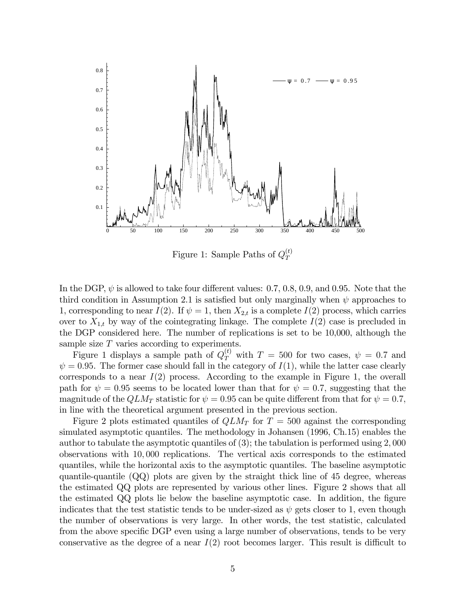

Figure 1: Sample Paths of  $Q_T^{(t)}$ T

In the DGP,  $\psi$  is allowed to take four different values: 0.7, 0.8, 0.9, and 0.95. Note that the third condition in Assumption 2.1 is satisfied but only marginally when  $\psi$  approaches to 1, corresponding to near  $I(2)$ . If  $\psi = 1$ , then  $X_{2,t}$  is a complete  $I(2)$  process, which carries over to  $X_{1,t}$  by way of the cointegrating linkage. The complete  $I(2)$  case is precluded in the DGP considered here. The number of replications is set to be 10,000, although the sample size  $T$  varies according to experiments.

Figure 1 displays a sample path of  $Q_T^{(t)}$  with  $T = 500$  for two cases,  $\psi = 0.7$  and  $\psi = 0.95$ . The former case should fall in the category of  $I(1)$ , while the latter case clearly corresponds to a near  $I(2)$  process. According to the example in Figure 1, the overall path for  $\psi = 0.95$  seems to be located lower than that for  $\psi = 0.7$ , suggesting that the magnitude of the  $QLM_T$  statistic for  $\psi = 0.95$  can be quite different from that for  $\psi = 0.7$ ; in line with the theoretical argument presented in the previous section.

Figure 2 plots estimated quantiles of  $QLM_T$  for  $T = 500$  against the corresponding simulated asymptotic quantiles. The methodology in Johansen (1996, Ch.15) enables the author to tabulate the asymptotic quantiles of  $(3)$ ; the tabulation is performed using 2,000 observations with 10; 000 replications. The vertical axis corresponds to the estimated quantiles, while the horizontal axis to the asymptotic quantiles. The baseline asymptotic quantile-quantile  $(QQ)$  plots are given by the straight thick line of 45 degree, whereas the estimated QQ plots are represented by various other lines. Figure 2 shows that all the estimated  $QQ$  plots lie below the baseline asymptotic case. In addition, the figure indicates that the test statistic tends to be under-sized as  $\psi$  gets closer to 1, even though the number of observations is very large. In other words, the test statistic, calculated from the above specific DGP even using a large number of observations, tends to be very conservative as the degree of a near  $I(2)$  root becomes larger. This result is difficult to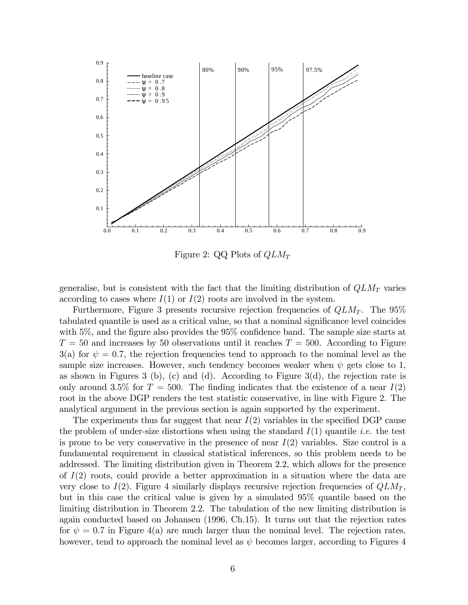

Figure 2: QQ Plots of  $QLM_T$ 

generalise, but is consistent with the fact that the limiting distribution of  $QLM_T$  varies according to cases where  $I(1)$  or  $I(2)$  roots are involved in the system.

Furthermore, Figure 3 presents recursive rejection frequencies of  $QLM_T$ . The 95% tabulated quantile is used as a critical value, so that a nominal significance level coincides with  $5\%$ , and the figure also provides the  $95\%$  confidence band. The sample size starts at  $T = 50$  and increases by 50 observations until it reaches  $T = 500$ . According to Figure 3(a) for  $\psi = 0.7$ , the rejection frequencies tend to approach to the nominal level as the sample size increases. However, such tendency becomes weaker when  $\psi$  gets close to 1, as shown in Figures 3 (b), (c) and (d). According to Figure 3(d), the rejection rate is only around 3.5% for  $T = 500$ . The finding indicates that the existence of a near  $I(2)$ root in the above DGP renders the test statistic conservative, in line with Figure 2. The analytical argument in the previous section is again supported by the experiment.

The experiments thus far suggest that near  $I(2)$  variables in the specified DGP cause the problem of under-size distortions when using the standard  $I(1)$  quantile *i.e.* the test is prone to be very conservative in the presence of near  $I(2)$  variables. Size control is a fundamental requirement in classical statistical inferences, so this problem needs to be addressed. The limiting distribution given in Theorem 2.2, which allows for the presence of  $I(2)$  roots, could provide a better approximation in a situation where the data are very close to  $I(2)$ . Figure 4 similarly displays recursive rejection frequencies of  $QLM_T$ , but in this case the critical value is given by a simulated 95% quantile based on the limiting distribution in Theorem 2.2. The tabulation of the new limiting distribution is again conducted based on Johansen (1996, Ch.15). It turns out that the rejection rates for  $\psi = 0.7$  in Figure 4(a) are much larger than the nominal level. The rejection rates, however, tend to approach the nominal level as  $\psi$  becomes larger, according to Figures 4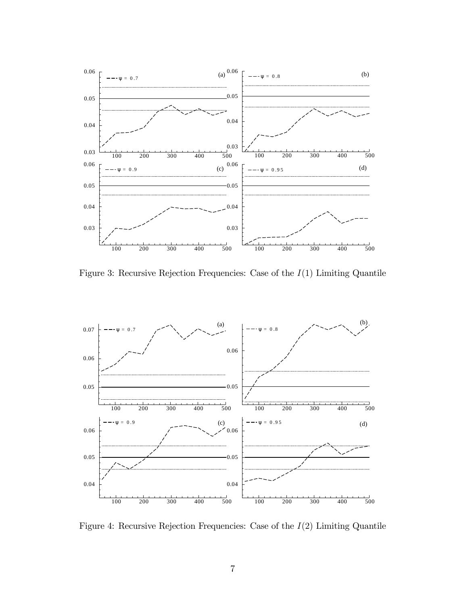

Figure 3: Recursive Rejection Frequencies: Case of the  $I(1)$  Limiting Quantile



Figure 4: Recursive Rejection Frequencies: Case of the  $I(2)$  Limiting Quantile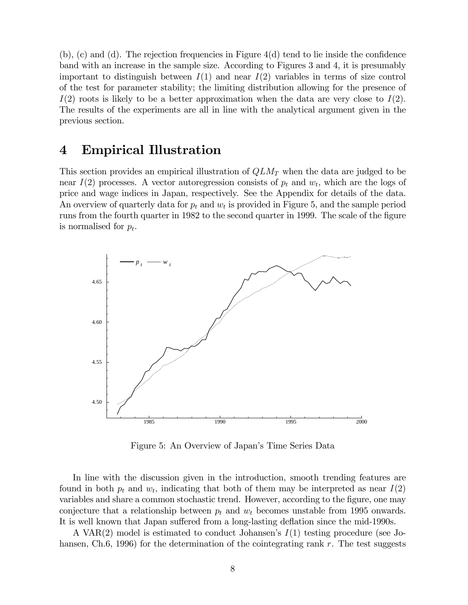$(b)$ ,  $(c)$  and  $(d)$ . The rejection frequencies in Figure  $4(d)$  tend to lie inside the confidence band with an increase in the sample size. According to Figures 3 and 4, it is presumably important to distinguish between  $I(1)$  and near  $I(2)$  variables in terms of size control of the test for parameter stability; the limiting distribution allowing for the presence of  $I(2)$  roots is likely to be a better approximation when the data are very close to  $I(2)$ . The results of the experiments are all in line with the analytical argument given in the previous section.

# 4 Empirical Illustration

This section provides an empirical illustration of  $QLM_T$  when the data are judged to be near  $I(2)$  processes. A vector autoregression consists of  $p_t$  and  $w_t$ , which are the logs of price and wage indices in Japan, respectively. See the Appendix for details of the data. An overview of quarterly data for  $p_t$  and  $w_t$  is provided in Figure 5, and the sample period runs from the fourth quarter in 1982 to the second quarter in 1999. The scale of the figure is normalised for  $p_t$ .



Figure 5: An Overview of Japan's Time Series Data

In line with the discussion given in the introduction, smooth trending features are found in both  $p_t$  and  $w_t$ , indicating that both of them may be interpreted as near  $I(2)$ variables and share a common stochastic trend. However, according to the figure, one may conjecture that a relationship between  $p_t$  and  $w_t$  becomes unstable from 1995 onwards. It is well known that Japan suffered from a long-lasting deflation since the mid-1990s.

A VAR(2) model is estimated to conduct Johansen's  $I(1)$  testing procedure (see Johansen, Ch.6, 1996) for the determination of the cointegrating rank r. The test suggests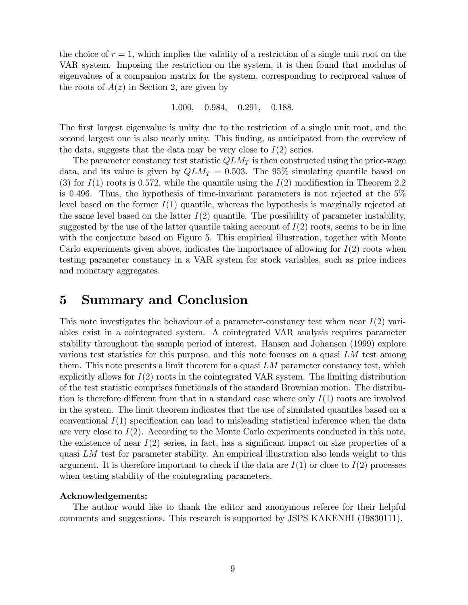the choice of  $r = 1$ , which implies the validity of a restriction of a single unit root on the VAR system. Imposing the restriction on the system, it is then found that modulus of eigenvalues of a companion matrix for the system, corresponding to reciprocal values of the roots of  $A(z)$  in Section 2, are given by

1.000, 0.984, 0.291, 0.188.

The first largest eigenvalue is unity due to the restriction of a single unit root, and the second largest one is also nearly unity. This finding, as anticipated from the overview of the data, suggests that the data may be very close to  $I(2)$  series.

The parameter constancy test statistic  $QLM_T$  is then constructed using the price-wage data, and its value is given by  $QLM_T = 0.503$ . The 95% simulating quantile based on (3) for  $I(1)$  roots is 0.572, while the quantile using the  $I(2)$  modification in Theorem 2.2 is 0:496. Thus, the hypothesis of time-invariant parameters is not rejected at the 5% level based on the former  $I(1)$  quantile, whereas the hypothesis is marginally rejected at the same level based on the latter  $I(2)$  quantile. The possibility of parameter instability, suggested by the use of the latter quantile taking account of  $I(2)$  roots, seems to be in line with the conjecture based on Figure 5. This empirical illustration, together with Monte Carlo experiments given above, indicates the importance of allowing for  $I(2)$  roots when testing parameter constancy in a VAR system for stock variables, such as price indices and monetary aggregates.

#### 5 Summary and Conclusion

This note investigates the behaviour of a parameter-constancy test when near  $I(2)$  variables exist in a cointegrated system. A cointegrated VAR analysis requires parameter stability throughout the sample period of interest. Hansen and Johansen (1999) explore various test statistics for this purpose, and this note focuses on a quasi  $LM$  test among them. This note presents a limit theorem for a quasi  $LM$  parameter constancy test, which explicitly allows for  $I(2)$  roots in the cointegrated VAR system. The limiting distribution of the test statistic comprises functionals of the standard Brownian motion. The distribution is therefore different from that in a standard case where only  $I(1)$  roots are involved in the system. The limit theorem indicates that the use of simulated quantiles based on a conventional  $I(1)$  specification can lead to misleading statistical inference when the data are very close to  $I(2)$ . According to the Monte Carlo experiments conducted in this note, the existence of near  $I(2)$  series, in fact, has a significant impact on size properties of a quasi  $LM$  test for parameter stability. An empirical illustration also lends weight to this argument. It is therefore important to check if the data are  $I(1)$  or close to  $I(2)$  processes when testing stability of the cointegrating parameters.

#### Acknowledgements:

The author would like to thank the editor and anonymous referee for their helpful comments and suggestions. This research is supported by JSPS KAKENHI (19830111).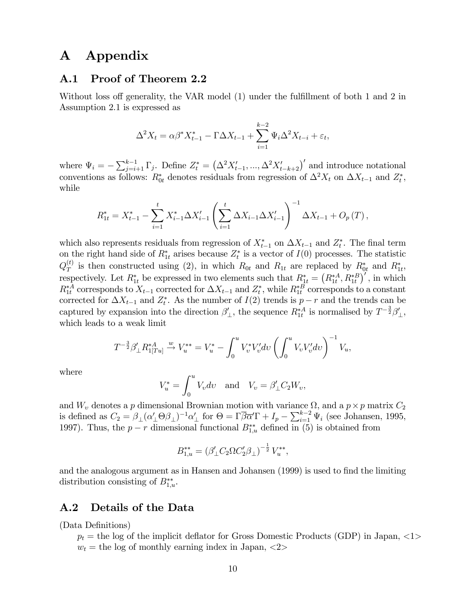# A Appendix

#### A.1 Proof of Theorem 2.2

Without loss off generality, the VAR model  $(1)$  under the fulfillment of both 1 and 2 in Assumption 2.1 is expressed as

$$
\Delta^2 X_t = \alpha \beta^* X_{t-1}^* - \Gamma \Delta X_{t-1} + \sum_{i=1}^{k-2} \Psi_i \Delta^2 X_{t-i} + \varepsilon_t,
$$

where  $\Psi_i = -\sum_{j=i+1}^{k-1} \Gamma_j$ . Define  $Z_t^* = (\Delta^2 X_{t-1}', ..., \Delta^2 X_{t-k+2}')'$  and introduce notational conventions as follows:  $R_{0t}^*$  denotes residuals from regression of  $\Delta^2 X_t$  on  $\Delta X_{t-1}$  and  $Z_t^*$ , while

$$
R_{1t}^{*} = X_{t-1}^{*} - \sum_{i=1}^{t} X_{i-1}^{*} \Delta X'_{i-1} \left( \sum_{i=1}^{t} \Delta X_{i-1} \Delta X'_{i-1} \right)^{-1} \Delta X_{t-1} + O_{p}(T),
$$

which also represents residuals from regression of  $X_{t-1}^*$  on  $\Delta X_{t-1}$  and  $Z_t^*$ . The final term on the right hand side of  $R_{1t}^*$  arises because  $Z_t^*$  is a vector of  $I(0)$  processes. The statistic  $Q_T^{(t)}$  $T_T^{(t)}$  is then constructed using (2), in which  $R_{0t}$  and  $R_{1t}$  are replaced by  $R_{0t}^*$  and  $R_{1t}^*$ , respectively. Let  $R_{1t}^*$  be expressed in two elements such that  $R_{1t}^* = (R_{1t}^{*A}, R_{1t}^{*B})'$ , in which  $R_{1t}^{*A}$  corresponds to  $X_{t-1}$  corrected for  $\Delta X_{t-1}$  and  $Z_t^*$ , while  $R_{1t}^{*B}$  corresponds to a constant corrected for  $\Delta X_{t-1}$  and  $Z_t^*$ . As the number of  $I(2)$  trends is  $p-r$  and the trends can be captured by expansion into the direction  $\beta'_{\perp}$ , the sequence  $R_{1t}^{*A}$  is normalised by  $T^{-\frac{3}{2}}\beta'_{\perp}$ , which leads to a weak limit

$$
T^{-\frac{3}{2}}\beta'_{\perp}R_{1[Tu]}^{*A} \xrightarrow{w} V_{u}^{**} = V_{u}^{*} - \int_{0}^{u} V_{v}^{*}V_{v}'dv \left(\int_{0}^{u} V_{v}V_{v}'dv\right)^{-1} V_{u},
$$

where

$$
V_u^* = \int_0^u V_v dv \text{ and } V_v = \beta'_{\perp} C_2 W_v,
$$

and  $W_v$  denotes a p dimensional Brownian motion with variance  $\Omega$ , and a  $p \times p$  matrix  $C_2$ is defined as  $C_2 = \beta_\perp (\alpha'_\perp \Theta \beta_\perp)^{-1} \alpha'_\perp$  for  $\Theta = \Gamma \overline{\beta} \overline{\alpha'} \Gamma + I_p - \sum_{i=1}^{k-2} \Psi_i$  (see Johansen, 1995, 1997). Thus, the  $p-r$  dimensional functional  $B_{1,u}^{**}$  defined in (5) is obtained from

$$
B_{1,u}^{**} = (\beta'_{\perp} C_2 \Omega C_2' \beta_{\perp})^{-\frac{1}{2}} V_u^{**},
$$

and the analogous argument as in Hansen and Johansen (1999) is used to find the limiting distribution consisting of  $B_{1,u}^{**}$ .

#### A.2 Details of the Data

(Data Definitions)

 $p_t$  = the log of the implicit deflator for Gross Domestic Products (GDP) in Japan, <1>  $w_t$  = the log of monthly earning index in Japan, <2>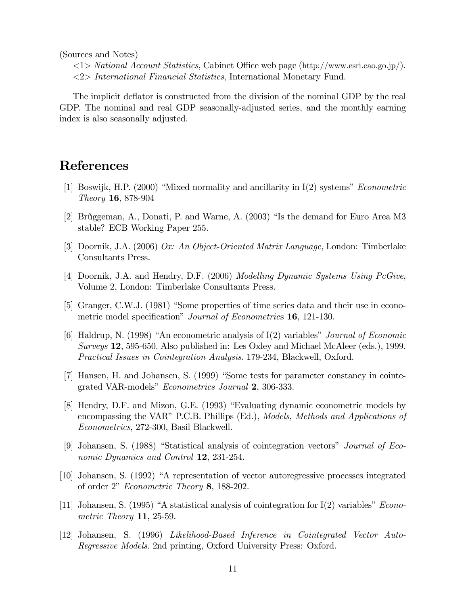(Sources and Notes)

 $\langle 1 \rangle$  National Account Statistics, Cabinet Office web page (http://www.esri.cao.go.jp/).  $\langle 2 \rangle$  International Financial Statistics, International Monetary Fund.

The implicit deflator is constructed from the division of the nominal GDP by the real GDP. The nominal and real GDP seasonally-adjusted series, and the monthly earning index is also seasonally adjusted.

# **References**

- [1] Boswijk, H.P. (2000) "Mixed normality and ancillarity in I(2) systems" Econometric *Theory* **16**, 878-904
- [2] Brüggeman, A., Donati, P. and Warne, A. (2003) "Is the demand for Euro Area M3 stable? ECB Working Paper 255.
- [3] Doornik, J.A. (2006) Ox: An Object-Oriented Matrix Language, London: Timberlake Consultants Press.
- [4] Doornik, J.A. and Hendry, D.F. (2006) Modelling Dynamic Systems Using PcGive, Volume 2, London: Timberlake Consultants Press.
- [5] Granger, C.W.J. (1981) "Some properties of time series data and their use in econometric model specification" *Journal of Econometrics* 16, 121-130.
- [6] Haldrup, N. (1998) "An econometric analysis of  $I(2)$  variables" *Journal of Economic Surveys* 12, 595-650. Also published in: Les Oxley and Michael McAleer (eds.), 1999. *Practical Issues in Cointegration Analysis.* 179-234, Blackwell, Oxford.
- [7] Hansen, H. and Johansen, S. (1999) "Some tests for parameter constancy in cointegrated VAR-models" Econometrics Journal 2, 306-333.
- [8] Hendry, D.F. and Mizon, G.E. (1993) "Evaluating dynamic econometric models by encompassing the VAR" P.C.B. Phillips (Ed.), *Models, Methods and Applications of Econometrics*, 272-300, Basil Blackwell.
- [9] Johansen, S. (1988) "Statistical analysis of cointegration vectors" Journal of Economic Dynamics and Control 12, 231-254.
- [10] Johansen, S. (1992) "A representation of vector autoregressive processes integrated of order 2" *Econometric Theory* 8, 188-202.
- [11] Johansen, S. (1995) "A statistical analysis of cointegration for  $I(2)$  variables" *Econo*metric Theory 11, 25-59.
- [12] Johansen, S. (1996) Likelihood-Based Inference in Cointegrated Vector Auto-*Regressive Models.* 2nd printing, Oxford University Press: Oxford.